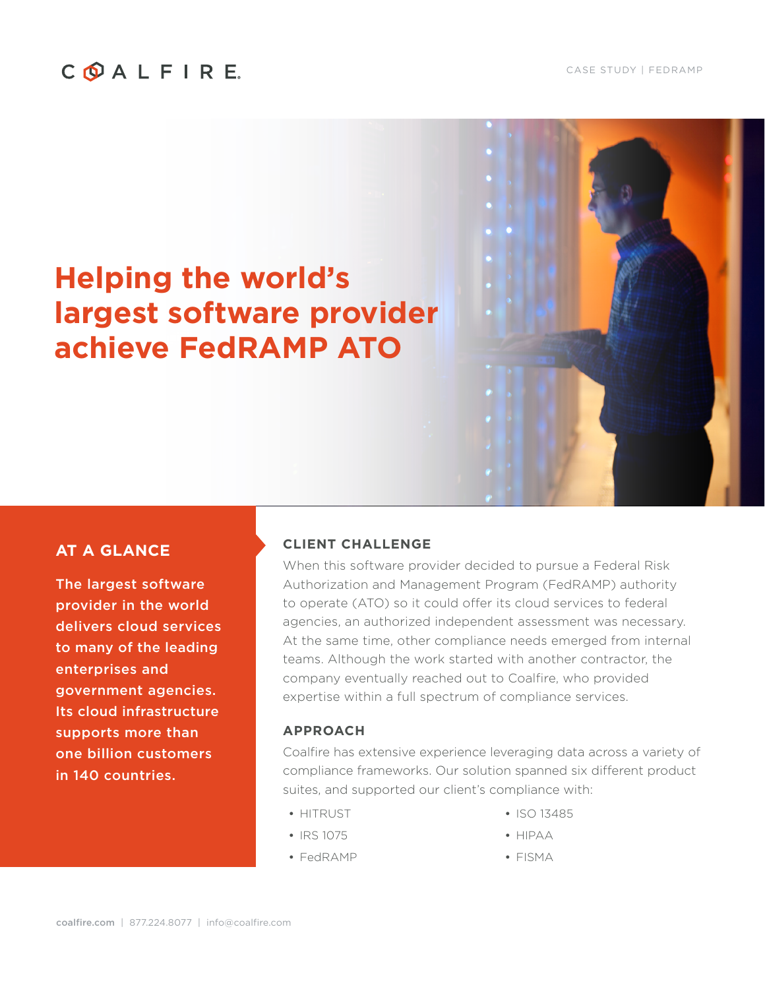## COALFIRE

# **Helping the world's largest software provider achieve FedRAMP ATO**



### **AT A GLANCE**

The largest software provider in the world delivers cloud services to many of the leading enterprises and government agencies. Its cloud infrastructure supports more than one billion customers in 140 countries.

#### **CLIENT CHALLENGE**

When this software provider decided to pursue a Federal Risk Authorization and Management Program (FedRAMP) authority to operate (ATO) so it could offer its cloud services to federal agencies, an authorized independent assessment was necessary. At the same time, other compliance needs emerged from internal teams. Although the work started with another contractor, the company eventually reached out to Coalfire, who provided expertise within a full spectrum of compliance services.

#### **APPROACH**

Coalfire has extensive experience leveraging data across a variety of compliance frameworks. Our solution spanned six different product suites, and supported our client's compliance with:

• HITRUST

• ISO 13485

- IRS 1075
- FedRAMP
- HIPAA
- FISMA